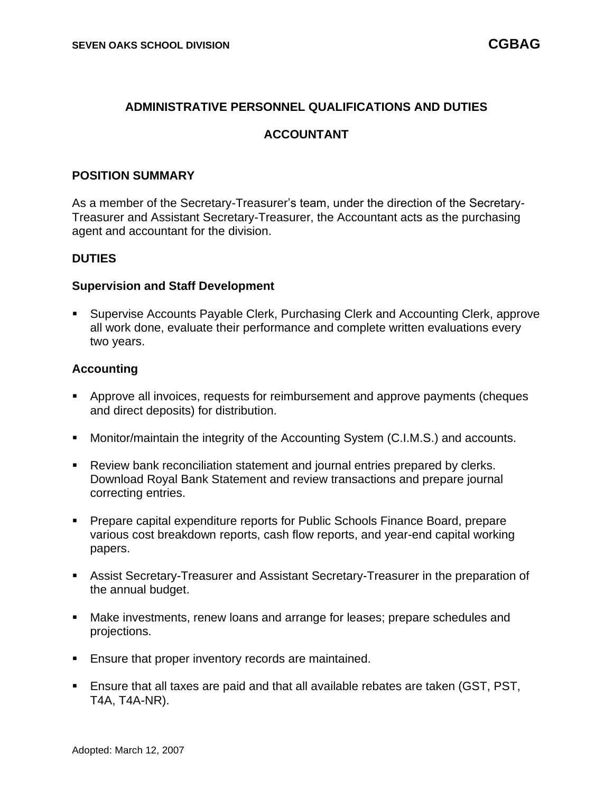## **ADMINISTRATIVE PERSONNEL QUALIFICATIONS AND DUTIES**

## **ACCOUNTANT**

#### **POSITION SUMMARY**

As a member of the Secretary-Treasurer's team, under the direction of the Secretary-Treasurer and Assistant Secretary-Treasurer, the Accountant acts as the purchasing agent and accountant for the division.

### **DUTIES**

#### **Supervision and Staff Development**

Supervise Accounts Payable Clerk, Purchasing Clerk and Accounting Clerk, approve all work done, evaluate their performance and complete written evaluations every two years.

#### **Accounting**

- Approve all invoices, requests for reimbursement and approve payments (cheques and direct deposits) for distribution.
- Monitor/maintain the integrity of the Accounting System (C.I.M.S.) and accounts.
- Review bank reconciliation statement and journal entries prepared by clerks. Download Royal Bank Statement and review transactions and prepare journal correcting entries.
- Prepare capital expenditure reports for Public Schools Finance Board, prepare various cost breakdown reports, cash flow reports, and year-end capital working papers.
- Assist Secretary-Treasurer and Assistant Secretary-Treasurer in the preparation of the annual budget.
- Make investments, renew loans and arrange for leases; prepare schedules and projections.
- Ensure that proper inventory records are maintained.
- Ensure that all taxes are paid and that all available rebates are taken (GST, PST, T4A, T4A-NR).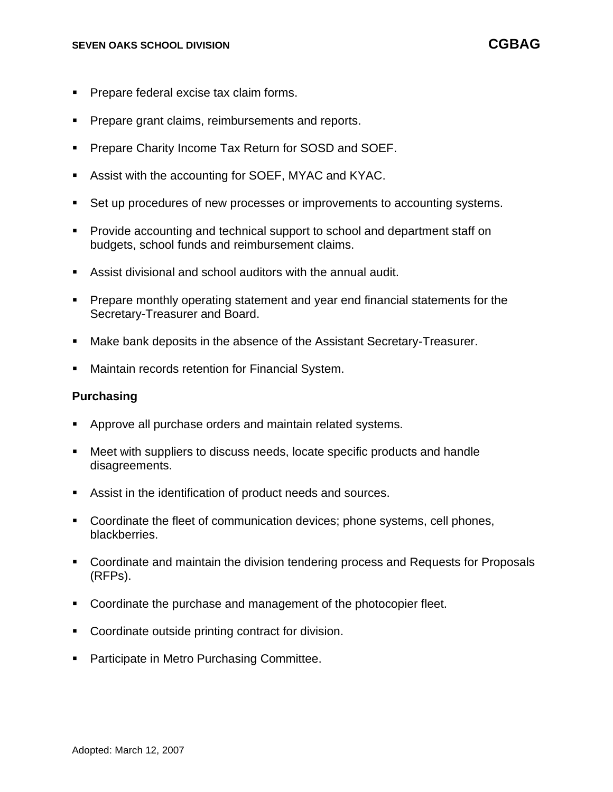- Prepare federal excise tax claim forms.
- Prepare grant claims, reimbursements and reports.
- Prepare Charity Income Tax Return for SOSD and SOEF.
- Assist with the accounting for SOEF, MYAC and KYAC.
- Set up procedures of new processes or improvements to accounting systems.
- Provide accounting and technical support to school and department staff on budgets, school funds and reimbursement claims.
- Assist divisional and school auditors with the annual audit.
- Prepare monthly operating statement and year end financial statements for the Secretary-Treasurer and Board.
- Make bank deposits in the absence of the Assistant Secretary-Treasurer.
- Maintain records retention for Financial System.

### **Purchasing**

- Approve all purchase orders and maintain related systems.
- Meet with suppliers to discuss needs, locate specific products and handle disagreements.
- Assist in the identification of product needs and sources.
- Coordinate the fleet of communication devices; phone systems, cell phones, blackberries.
- Coordinate and maintain the division tendering process and Requests for Proposals (RFPs).
- Coordinate the purchase and management of the photocopier fleet.
- Coordinate outside printing contract for division.
- **Participate in Metro Purchasing Committee.**